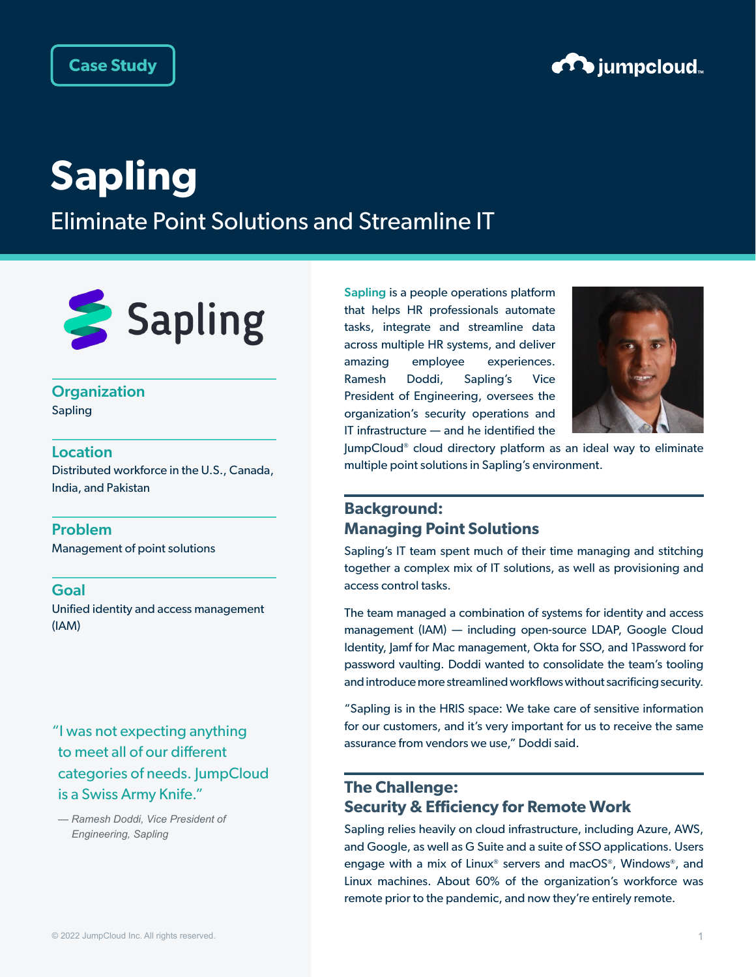

# **Sapling**

Eliminate Point Solutions and Streamline IT



## **Organization**

Sapling

### Location

Distributed workforce in the U.S., Canada, India, and Pakistan

### Problem

Management of point solutions

#### Goal

Unified identity and access management (IAM)

"I was not expecting anything to meet all of our different categories of needs. JumpCloud is a Swiss Army Knife."

[Sapling](https://www.saplinghr.com/) is a people operations platform that helps HR professionals automate tasks, integrate and streamline data across multiple HR systems, and deliver amazing employee experiences. Ramesh Doddi, Sapling's Vice President of Engineering, oversees the organization's security operations and IT infrastructure — and he identified the



JumpCloud® cloud directory platform as an ideal way to eliminate multiple point solutions in Sapling's environment.

## **Background: Managing Point Solutions**

Sapling's IT team spent much of their time managing and stitching together a complex mix of IT solutions, as well as provisioning and access control tasks.

The team managed a combination of systems for identity and access management (IAM) — including open-source LDAP, Google Cloud Identity, Jamf for Mac management, Okta for SSO, and 1Password for password vaulting. Doddi wanted to consolidate the team's tooling and introduce more streamlined workflows without sacrificing security.

"Sapling is in the HRIS space: We take care of sensitive information for our customers, and it's very important for us to receive the same assurance from vendors we use," Doddi said.

## **The Challenge: Security & Efficiency for Remote Work**

Sapling relies heavily on cloud infrastructure, including Azure, AWS, and Google, as well as G Suite and a suite of SSO applications. Users engage with a mix of Linux® servers and macOS®, Windows®, and Linux machines. About 60% of the organization's workforce was remote prior to the pandemic, and now they're entirely remote.

*<sup>—</sup> Ramesh Doddi, Vice President of Engineering, Sapling*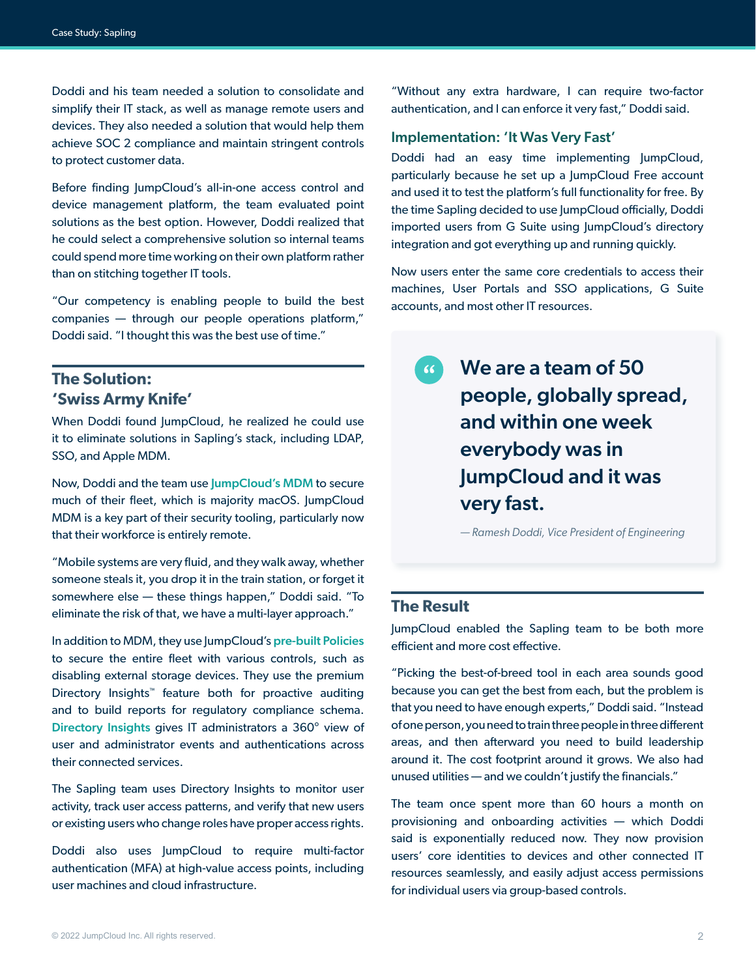Doddi and his team needed a solution to consolidate and simplify their IT stack, as well as manage remote users and devices. They also needed a solution that would help them achieve SOC 2 compliance and maintain stringent controls to protect customer data.

Before finding JumpCloud's all-in-one access control and device management platform, the team evaluated point solutions as the best option. However, Doddi realized that he could select a comprehensive solution so internal teams could spend more time working on their own platform rather than on stitching together IT tools.

"Our competency is enabling people to build the best companies — through our people operations platform," Doddi said. "I thought this was the best use of time."

## **The Solution: 'Swiss Army Knife'**

When Doddi found JumpCloud, he realized he could use it to eliminate solutions in Sapling's stack, including LDAP, SSO, and Apple MDM.

Now, Doddi and the team use [JumpCloud's MDM](https://jumpcloud.com/blog/apple-mdm) to secure much of their fleet, which is majority macOS. JumpCloud MDM is a key part of their security tooling, particularly now that their workforce is entirely remote.

"Mobile systems are very fluid, and they walk away, whether someone steals it, you drop it in the train station, or forget it somewhere else — these things happen," Doddi said. "To eliminate the risk of that, we have a multi-layer approach."

In addition to MDM, they use JumpCloud's [pre-built Policies](https://jumpcloud.com/product/policies) to secure the entire fleet with various controls, such as disabling external storage devices. They use the premium Directory Insights™ feature both for proactive auditing and to build reports for regulatory compliance schema. [Directory Insights](https://jumpcloud.com/product/directory-insights) gives IT administrators a 360° view of user and administrator events and authentications across their connected services.

The Sapling team uses Directory Insights to monitor user activity, track user access patterns, and verify that new users or existing users who change roles have proper access rights.

Doddi also uses JumpCloud to require multi-factor authentication (MFA) at high-value access points, including user machines and cloud infrastructure.

"Without any extra hardware, I can require two-factor authentication, and I can enforce it very fast," Doddi said.

#### Implementation: 'It Was Very Fast'

Doddi had an easy time implementing JumpCloud, particularly because he set up a JumpCloud Free account and used it to test the platform's full functionality for free. By the time Sapling decided to use JumpCloud officially, Doddi imported users from G Suite using JumpCloud's directory integration and got everything up and running quickly.

Now users enter the same core credentials to access their machines, User Portals and SSO applications, G Suite accounts, and most other IT resources.

 $\left( 6 \right)$ We are a team of 50 people, globally spread, and within one week everybody was in JumpCloud and it was very fast.

*— Ramesh Doddi, Vice President of Engineering*

## **The Result**

JumpCloud enabled the Sapling team to be both more efficient and more cost effective.

"Picking the best-of-breed tool in each area sounds good because you can get the best from each, but the problem is that you need to have enough experts," Doddi said. "Instead of one person, you need to train three people in three different areas, and then afterward you need to build leadership around it. The cost footprint around it grows. We also had unused utilities — and we couldn't justify the financials."

The team once spent more than 60 hours a month on provisioning and onboarding activities — which Doddi said is exponentially reduced now. They now provision users' core identities to devices and other connected IT resources seamlessly, and easily adjust access permissions for individual users via group-based controls.